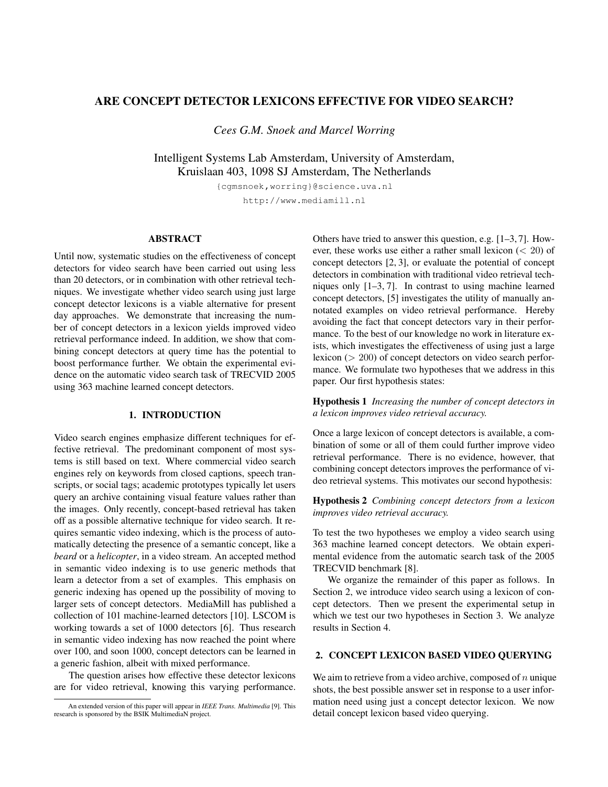# **ARE CONCEPT DETECTOR LEXICONS EFFECTIVE FOR VIDEO SEARCH?**

*Cees G.M. Snoek and Marcel Worring*

Intelligent Systems Lab Amsterdam, University of Amsterdam, Kruislaan 403, 1098 SJ Amsterdam, The Netherlands

> {cgmsnoek,worring}@science.uva.nl http://www.mediamill.nl

#### **ABSTRACT**

Until now, systematic studies on the effectiveness of concept detectors for video search have been carried out using less than 20 detectors, or in combination with other retrieval techniques. We investigate whether video search using just large concept detector lexicons is a viable alternative for present day approaches. We demonstrate that increasing the number of concept detectors in a lexicon yields improved video retrieval performance indeed. In addition, we show that combining concept detectors at query time has the potential to boost performance further. We obtain the experimental evidence on the automatic video search task of TRECVID 2005 using 363 machine learned concept detectors.

### **1. INTRODUCTION**

Video search engines emphasize different techniques for effective retrieval. The predominant component of most systems is still based on text. Where commercial video search engines rely on keywords from closed captions, speech transcripts, or social tags; academic prototypes typically let users query an archive containing visual feature values rather than the images. Only recently, concept-based retrieval has taken off as a possible alternative technique for video search. It requires semantic video indexing, which is the process of automatically detecting the presence of a semantic concept, like a *beard* or a *helicopter*, in a video stream. An accepted method in semantic video indexing is to use generic methods that learn a detector from a set of examples. This emphasis on generic indexing has opened up the possibility of moving to larger sets of concept detectors. MediaMill has published a collection of 101 machine-learned detectors [10]. LSCOM is working towards a set of 1000 detectors [6]. Thus research in semantic video indexing has now reached the point where over 100, and soon 1000, concept detectors can be learned in a generic fashion, albeit with mixed performance.

The question arises how effective these detector lexicons are for video retrieval, knowing this varying performance.

Others have tried to answer this question, e.g. [1–3, 7]. However, these works use either a rather small lexicon (< 20) of concept detectors [2, 3], or evaluate the potential of concept detectors in combination with traditional video retrieval techniques only [1–3, 7]. In contrast to using machine learned concept detectors, [5] investigates the utility of manually annotated examples on video retrieval performance. Hereby avoiding the fact that concept detectors vary in their performance. To the best of our knowledge no work in literature exists, which investigates the effectiveness of using just a large lexicon (> 200) of concept detectors on video search performance. We formulate two hypotheses that we address in this paper. Our first hypothesis states:

**Hypothesis 1** *Increasing the number of concept detectors in a lexicon improves video retrieval accuracy.*

Once a large lexicon of concept detectors is available, a combination of some or all of them could further improve video retrieval performance. There is no evidence, however, that combining concept detectors improves the performance of video retrieval systems. This motivates our second hypothesis:

**Hypothesis 2** *Combining concept detectors from a lexicon improves video retrieval accuracy.*

To test the two hypotheses we employ a video search using 363 machine learned concept detectors. We obtain experimental evidence from the automatic search task of the 2005 TRECVID benchmark [8].

We organize the remainder of this paper as follows. In Section 2, we introduce video search using a lexicon of concept detectors. Then we present the experimental setup in which we test our two hypotheses in Section 3. We analyze results in Section 4.

## **2. CONCEPT LEXICON BASED VIDEO QUERYING**

We aim to retrieve from a video archive, composed of  $n$  unique shots, the best possible answer set in response to a user information need using just a concept detector lexicon. We now detail concept lexicon based video querying.

An extended version of this paper will appear in *IEEE Trans. Multimedia* [9]. This research is sponsored by the BSIK MultimediaN project.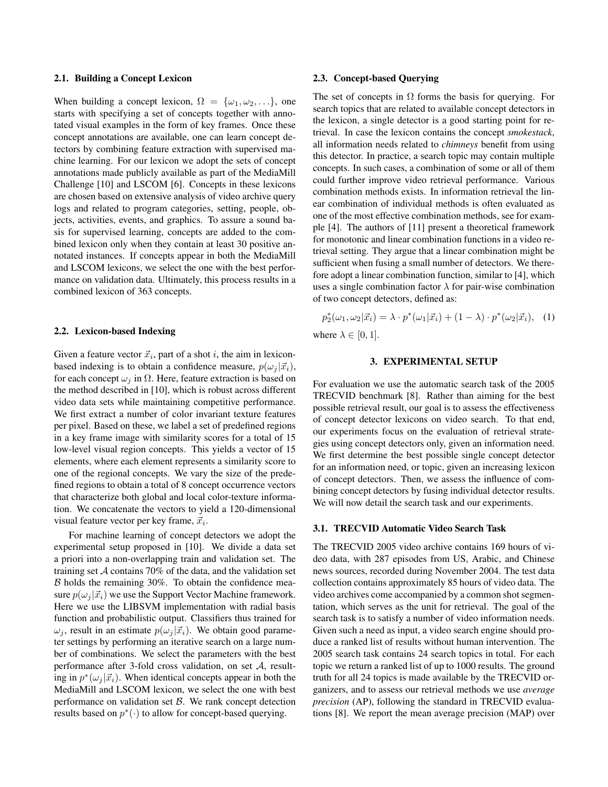#### **2.1. Building a Concept Lexicon**

When building a concept lexicon,  $\Omega = {\omega_1, \omega_2, \ldots}$ , one starts with specifying a set of concepts together with annotated visual examples in the form of key frames. Once these concept annotations are available, one can learn concept detectors by combining feature extraction with supervised machine learning. For our lexicon we adopt the sets of concept annotations made publicly available as part of the MediaMill Challenge [10] and LSCOM [6]. Concepts in these lexicons are chosen based on extensive analysis of video archive query logs and related to program categories, setting, people, objects, activities, events, and graphics. To assure a sound basis for supervised learning, concepts are added to the combined lexicon only when they contain at least 30 positive annotated instances. If concepts appear in both the MediaMill and LSCOM lexicons, we select the one with the best performance on validation data. Ultimately, this process results in a combined lexicon of 363 concepts.

#### **2.2. Lexicon-based Indexing**

Given a feature vector  $\vec{x}_i$ , part of a shot i, the aim in lexiconbased indexing is to obtain a confidence measure,  $p(\omega_i | \vec{x_i})$ , for each concept  $\omega_i$  in  $\Omega$ . Here, feature extraction is based on the method described in [10], which is robust across different video data sets while maintaining competitive performance. We first extract a number of color invariant texture features per pixel. Based on these, we label a set of predefined regions in a key frame image with similarity scores for a total of 15 low-level visual region concepts. This yields a vector of 15 elements, where each element represents a similarity score to one of the regional concepts. We vary the size of the predefined regions to obtain a total of 8 concept occurrence vectors that characterize both global and local color-texture information. We concatenate the vectors to yield a 120-dimensional visual feature vector per key frame,  $\vec{x}_i$ .

For machine learning of concept detectors we adopt the experimental setup proposed in [10]. We divide a data set a priori into a non-overlapping train and validation set. The training set  $A$  contains 70% of the data, and the validation set  $B$  holds the remaining 30%. To obtain the confidence measure  $p(\omega_i | \vec{x}_i)$  we use the Support Vector Machine framework. Here we use the LIBSVM implementation with radial basis function and probabilistic output. Classifiers thus trained for  $\omega_i$ , result in an estimate  $p(\omega_i | \vec{x}_i)$ . We obtain good parameter settings by performing an iterative search on a large number of combinations. We select the parameters with the best performance after 3-fold cross validation, on set A, resulting in  $p^*(\omega_j|\vec{x}_i)$ . When identical concepts appear in both the MediaMill and LSCOM lexicon, we select the one with best performance on validation set  $\beta$ . We rank concept detection results based on  $p^*(\cdot)$  to allow for concept-based querying.

#### **2.3. Concept-based Querying**

The set of concepts in  $\Omega$  forms the basis for querying. For search topics that are related to available concept detectors in the lexicon, a single detector is a good starting point for retrieval. In case the lexicon contains the concept *smokestack*, all information needs related to *chimneys* benefit from using this detector. In practice, a search topic may contain multiple concepts. In such cases, a combination of some or all of them could further improve video retrieval performance. Various combination methods exists. In information retrieval the linear combination of individual methods is often evaluated as one of the most effective combination methods, see for example [4]. The authors of [11] present a theoretical framework for monotonic and linear combination functions in a video retrieval setting. They argue that a linear combination might be sufficient when fusing a small number of detectors. We therefore adopt a linear combination function, similar to [4], which uses a single combination factor  $\lambda$  for pair-wise combination of two concept detectors, defined as:

$$
p_2^*(\omega_1, \omega_2 | \vec{x}_i) = \lambda \cdot p^*(\omega_1 | \vec{x}_i) + (1 - \lambda) \cdot p^*(\omega_2 | \vec{x}_i), \quad (1)
$$

where  $\lambda \in [0, 1]$ .

## **3. EXPERIMENTAL SETUP**

For evaluation we use the automatic search task of the 2005 TRECVID benchmark [8]. Rather than aiming for the best possible retrieval result, our goal is to assess the effectiveness of concept detector lexicons on video search. To that end, our experiments focus on the evaluation of retrieval strategies using concept detectors only, given an information need. We first determine the best possible single concept detector for an information need, or topic, given an increasing lexicon of concept detectors. Then, we assess the influence of combining concept detectors by fusing individual detector results. We will now detail the search task and our experiments.

#### **3.1. TRECVID Automatic Video Search Task**

The TRECVID 2005 video archive contains 169 hours of video data, with 287 episodes from US, Arabic, and Chinese news sources, recorded during November 2004. The test data collection contains approximately 85 hours of video data. The video archives come accompanied by a common shot segmentation, which serves as the unit for retrieval. The goal of the search task is to satisfy a number of video information needs. Given such a need as input, a video search engine should produce a ranked list of results without human intervention. The 2005 search task contains 24 search topics in total. For each topic we return a ranked list of up to 1000 results. The ground truth for all 24 topics is made available by the TRECVID organizers, and to assess our retrieval methods we use *average precision* (AP), following the standard in TRECVID evaluations [8]. We report the mean average precision (MAP) over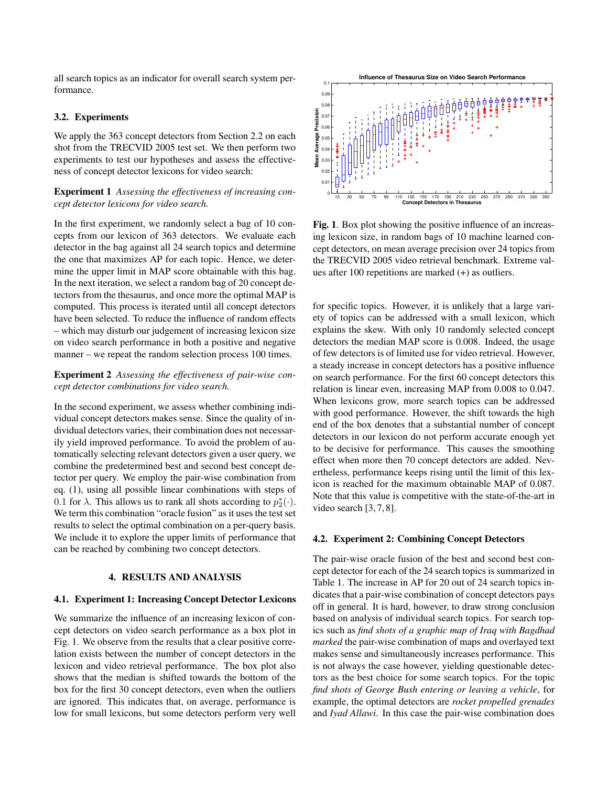all search topics as an indicator for overall search system performance.

#### **3.2. Experiments**

We apply the 363 concept detectors from Section 2.2 on each shot from the TRECVID 2005 test set. We then perform two experiments to test our hypotheses and assess the effectiveness of concept detector lexicons for video search:

## **Experiment 1** *Assessing the effectiveness of increasing concept detector lexicons for video search.*

In the first experiment, we randomly select a bag of 10 concepts from our lexicon of 363 detectors. We evaluate each detector in the bag against all 24 search topics and determine the one that maximizes AP for each topic. Hence, we determine the upper limit in MAP score obtainable with this bag. In the next iteration, we select a random bag of 20 concept detectors from the thesaurus, and once more the optimal MAP is computed. This process is iterated until all concept detectors have been selected. To reduce the influence of random effects – which may disturb our judgement of increasing lexicon size on video search performance in both a positive and negative manner – we repeat the random selection process 100 times.

## **Experiment 2** *Assessing the effectiveness of pair-wise concept detector combinations for video search.*

In the second experiment, we assess whether combining individual concept detectors makes sense. Since the quality of individual detectors varies, their combination does not necessarily yield improved performance. To avoid the problem of automatically selecting relevant detectors given a user query, we combine the predetermined best and second best concept detector per query. We employ the pair-wise combination from eq. (1), using all possible linear combinations with steps of 0.1 for  $\lambda$ . This allows us to rank all shots according to  $p_2^*(\cdot)$ . We term this combination "oracle fusion" as it uses the test set results to select the optimal combination on a per-query basis. We include it to explore the upper limits of performance that can be reached by combining two concept detectors.

## **4. RESULTS AND ANALYSIS**

#### **4.1. Experiment 1: Increasing Concept Detector Lexicons**

We summarize the influence of an increasing lexicon of concept detectors on video search performance as a box plot in Fig. 1. We observe from the results that a clear positive correlation exists between the number of concept detectors in the lexicon and video retrieval performance. The box plot also shows that the median is shifted towards the bottom of the box for the first 30 concept detectors, even when the outliers are ignored. This indicates that, on average, performance is low for small lexicons, but some detectors perform very well



**Fig. 1**. Box plot showing the positive influence of an increasing lexicon size, in random bags of 10 machine learned concept detectors, on mean average precision over 24 topics from the TRECVID 2005 video retrieval benchmark. Extreme values after 100 repetitions are marked (+) as outliers.

for specific topics. However, it is unlikely that a large variety of topics can be addressed with a small lexicon, which explains the skew. With only 10 randomly selected concept detectors the median MAP score is 0.008. Indeed, the usage of few detectors is of limited use for video retrieval. However, a steady increase in concept detectors has a positive influence on search performance. For the first 60 concept detectors this relation is linear even, increasing MAP from 0.008 to 0.047. When lexicons grow, more search topics can be addressed with good performance. However, the shift towards the high end of the box denotes that a substantial number of concept detectors in our lexicon do not perform accurate enough yet to be decisive for performance. This causes the smoothing effect when more then 70 concept detectors are added. Nevertheless, performance keeps rising until the limit of this lexicon is reached for the maximum obtainable MAP of 0.087. Note that this value is competitive with the state-of-the-art in video search [3,7,8].

## **4.2. Experiment 2: Combining Concept Detectors**

The pair-wise oracle fusion of the best and second best concept detector for each of the 24 search topics is summarized in Table 1. The increase in AP for 20 out of 24 search topics indicates that a pair-wise combination of concept detectors pays off in general. It is hard, however, to draw strong conclusion based on analysis of individual search topics. For search topics such as *find shots of a graphic map of Iraq with Bagdhad marked* the pair-wise combination of maps and overlayed text makes sense and simultaneously increases performance. This is not always the case however, yielding questionable detectors as the best choice for some search topics. For the topic *find shots of George Bush entering or leaving a vehicle*, for example, the optimal detectors are *rocket propelled grenades* and *Iyad Allawi*. In this case the pair-wise combination does